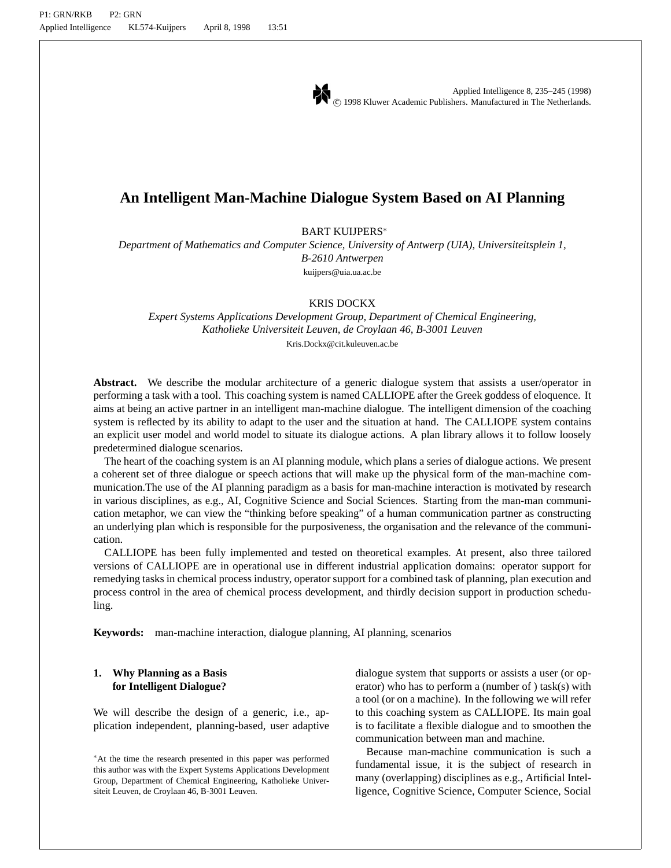# **An Intelligent Man-Machine Dialogue System Based on AI Planning**

BART KUIJPERS<sup>∗</sup>

*Department of Mathematics and Computer Science, University of Antwerp (UIA), Universiteitsplein 1, B-2610 Antwerpen*

kuijpers@uia.ua.ac.be

### KRIS DOCKX

*Expert Systems Applications Development Group, Department of Chemical Engineering, Katholieke Universiteit Leuven, de Croylaan 46, B-3001 Leuven* Kris.Dockx@cit.kuleuven.ac.be

Abstract. We describe the modular architecture of a generic dialogue system that assists a user/operator in performing a task with a tool. This coaching system is named CALLIOPE after the Greek goddess of eloquence. It aims at being an active partner in an intelligent man-machine dialogue. The intelligent dimension of the coaching system is reflected by its ability to adapt to the user and the situation at hand. The CALLIOPE system contains an explicit user model and world model to situate its dialogue actions. A plan library allows it to follow loosely predetermined dialogue scenarios.

The heart of the coaching system is an AI planning module, which plans a series of dialogue actions. We present a coherent set of three dialogue or speech actions that will make up the physical form of the man-machine communication.The use of the AI planning paradigm as a basis for man-machine interaction is motivated by research in various disciplines, as e.g., AI, Cognitive Science and Social Sciences. Starting from the man-man communication metaphor, we can view the "thinking before speaking" of a human communication partner as constructing an underlying plan which is responsible for the purposiveness, the organisation and the relevance of the communication.

CALLIOPE has been fully implemented and tested on theoretical examples. At present, also three tailored versions of CALLIOPE are in operational use in different industrial application domains: operator support for remedying tasks in chemical process industry, operator support for a combined task of planning, plan execution and process control in the area of chemical process development, and thirdly decision support in production scheduling.

**Keywords:** man-machine interaction, dialogue planning, AI planning, scenarios

# **1. Why Planning as a Basis for Intelligent Dialogue?**

We will describe the design of a generic, i.e., application independent, planning-based, user adaptive dialogue system that supports or assists a user (or operator) who has to perform a (number of ) task(s) with a tool (or on a machine). In the following we will refer to this coaching system as CALLIOPE. Its main goal is to facilitate a flexible dialogue and to smoothen the communication between man and machine.

Because man-machine communication is such a fundamental issue, it is the subject of research in many (overlapping) disciplines as e.g., Artificial Intelligence, Cognitive Science, Computer Science, Social

<sup>∗</sup>At the time the research presented in this paper was performed this author was with the Expert Systems Applications Development Group, Department of Chemical Engineering, Katholieke Universiteit Leuven, de Croylaan 46, B-3001 Leuven.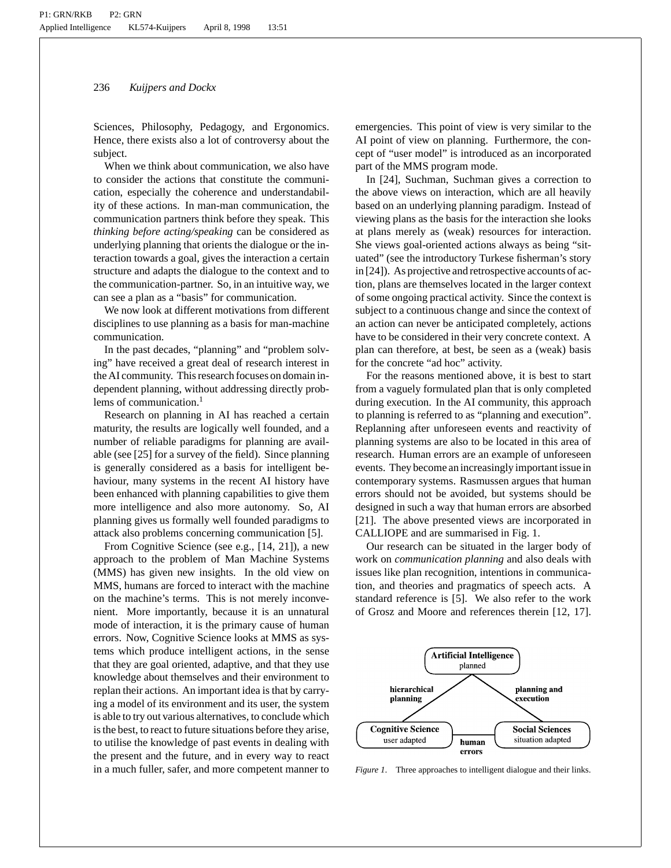Sciences, Philosophy, Pedagogy, and Ergonomics. Hence, there exists also a lot of controversy about the subject.

When we think about communication, we also have to consider the actions that constitute the communication, especially the coherence and understandability of these actions. In man-man communication, the communication partners think before they speak. This *thinking before acting/speaking* can be considered as underlying planning that orients the dialogue or the interaction towards a goal, gives the interaction a certain structure and adapts the dialogue to the context and to the communication-partner. So, in an intuitive way, we can see a plan as a "basis" for communication.

We now look at different motivations from different disciplines to use planning as a basis for man-machine communication.

In the past decades, "planning" and "problem solving" have received a great deal of research interest in the AI community. This research focuses on domain independent planning, without addressing directly problems of communication.<sup>1</sup>

Research on planning in AI has reached a certain maturity, the results are logically well founded, and a number of reliable paradigms for planning are available (see [25] for a survey of the field). Since planning is generally considered as a basis for intelligent behaviour, many systems in the recent AI history have been enhanced with planning capabilities to give them more intelligence and also more autonomy. So, AI planning gives us formally well founded paradigms to attack also problems concerning communication [5].

From Cognitive Science (see e.g., [14, 21]), a new approach to the problem of Man Machine Systems (MMS) has given new insights. In the old view on MMS, humans are forced to interact with the machine on the machine's terms. This is not merely inconvenient. More importantly, because it is an unnatural mode of interaction, it is the primary cause of human errors. Now, Cognitive Science looks at MMS as systems which produce intelligent actions, in the sense that they are goal oriented, adaptive, and that they use knowledge about themselves and their environment to replan their actions. An important idea is that by carrying a model of its environment and its user, the system is able to try out various alternatives, to conclude which is the best, to react to future situations before they arise, to utilise the knowledge of past events in dealing with the present and the future, and in every way to react in a much fuller, safer, and more competent manner to

emergencies. This point of view is very similar to the AI point of view on planning. Furthermore, the concept of "user model" is introduced as an incorporated part of the MMS program mode.

In [24], Suchman, Suchman gives a correction to the above views on interaction, which are all heavily based on an underlying planning paradigm. Instead of viewing plans as the basis for the interaction she looks at plans merely as (weak) resources for interaction. She views goal-oriented actions always as being "situated" (see the introductory Turkese fisherman's story in [24]). As projective and retrospective accounts of action, plans are themselves located in the larger context of some ongoing practical activity. Since the context is subject to a continuous change and since the context of an action can never be anticipated completely, actions have to be considered in their very concrete context. A plan can therefore, at best, be seen as a (weak) basis for the concrete "ad hoc" activity.

For the reasons mentioned above, it is best to start from a vaguely formulated plan that is only completed during execution. In the AI community, this approach to planning is referred to as "planning and execution". Replanning after unforeseen events and reactivity of planning systems are also to be located in this area of research. Human errors are an example of unforeseen events. They become an increasingly important issue in contemporary systems. Rasmussen argues that human errors should not be avoided, but systems should be designed in such a way that human errors are absorbed [21]. The above presented views are incorporated in CALLIOPE and are summarised in Fig. 1.

Our research can be situated in the larger body of work on *communication planning* and also deals with issues like plan recognition, intentions in communication, and theories and pragmatics of speech acts. A standard reference is [5]. We also refer to the work of Grosz and Moore and references therein [12, 17].



*Figure 1.* Three approaches to intelligent dialogue and their links.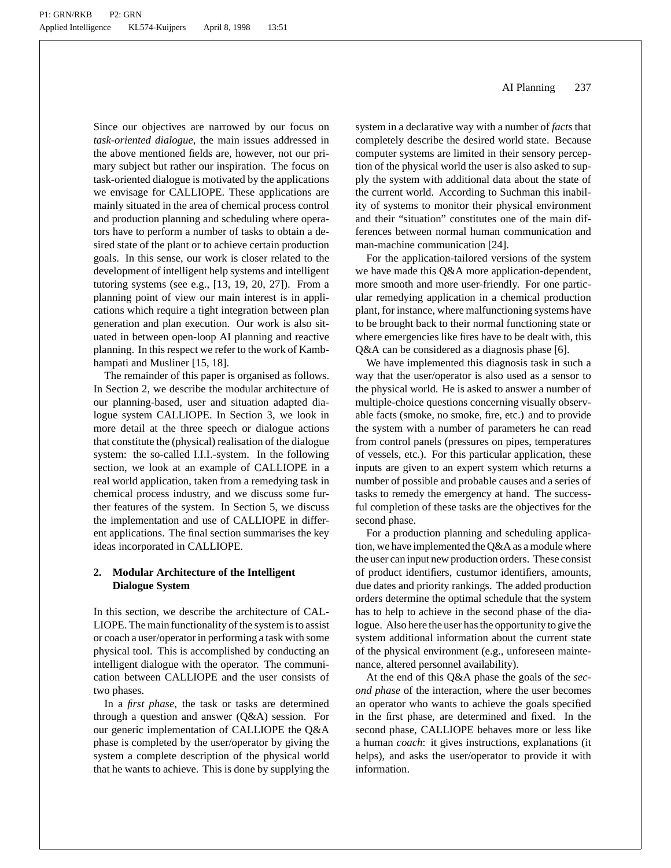Since our objectives are narrowed by our focus on *task-oriented dialogue*, the main issues addressed in the above mentioned fields are, however, not our primary subject but rather our inspiration. The focus on task-oriented dialogue is motivated by the applications we envisage for CALLIOPE. These applications are mainly situated in the area of chemical process control and production planning and scheduling where operators have to perform a number of tasks to obtain a desired state of the plant or to achieve certain production goals. In this sense, our work is closer related to the development of intelligent help systems and intelligent tutoring systems (see e.g., [13, 19, 20, 27]). From a planning point of view our main interest is in applications which require a tight integration between plan generation and plan execution. Our work is also situated in between open-loop AI planning and reactive planning. In this respect we refer to the work of Kambhampati and Musliner [15, 18].

The remainder of this paper is organised as follows. In Section 2, we describe the modular architecture of our planning-based, user and situation adapted dialogue system CALLIOPE. In Section 3, we look in more detail at the three speech or dialogue actions that constitute the (physical) realisation of the dialogue system: the so-called I.I.I.-system. In the following section, we look at an example of CALLIOPE in a real world application, taken from a remedying task in chemical process industry, and we discuss some further features of the system. In Section 5, we discuss the implementation and use of CALLIOPE in different applications. The final section summarises the key ideas incorporated in CALLIOPE.

## **2. Modular Architecture of the Intelligent Dialogue System**

In this section, we describe the architecture of CAL-LIOPE. The main functionality of the system is to assist or coach a user/operator in performing a task with some physical tool. This is accomplished by conducting an intelligent dialogue with the operator. The communication between CALLIOPE and the user consists of two phases.

In a *first phase*, the task or tasks are determined through a question and answer (Q&A) session. For our generic implementation of CALLIOPE the Q&A phase is completed by the user/operator by giving the system a complete description of the physical world that he wants to achieve. This is done by supplying the

system in a declarative way with a number of *facts* that completely describe the desired world state. Because computer systems are limited in their sensory perception of the physical world the user is also asked to supply the system with additional data about the state of the current world. According to Suchman this inability of systems to monitor their physical environment and their "situation" constitutes one of the main differences between normal human communication and man-machine communication [24].

For the application-tailored versions of the system we have made this Q&A more application-dependent, more smooth and more user-friendly. For one particular remedying application in a chemical production plant, for instance, where malfunctioning systems have to be brought back to their normal functioning state or where emergencies like fires have to be dealt with, this Q&A can be considered as a diagnosis phase [6].

We have implemented this diagnosis task in such a way that the user/operator is also used as a sensor to the physical world. He is asked to answer a number of multiple-choice questions concerning visually observable facts (smoke, no smoke, fire, etc.) and to provide the system with a number of parameters he can read from control panels (pressures on pipes, temperatures of vessels, etc.). For this particular application, these inputs are given to an expert system which returns a number of possible and probable causes and a series of tasks to remedy the emergency at hand. The successful completion of these tasks are the objectives for the second phase.

For a production planning and scheduling application, we have implemented the Q&A as a module where the user can input new production orders. These consist of product identifiers, custumor identifiers, amounts, due dates and priority rankings. The added production orders determine the optimal schedule that the system has to help to achieve in the second phase of the dialogue. Also here the user has the opportunity to give the system additional information about the current state of the physical environment (e.g., unforeseen maintenance, altered personnel availability).

At the end of this Q&A phase the goals of the *second phase* of the interaction, where the user becomes an operator who wants to achieve the goals specified in the first phase, are determined and fixed. In the second phase, CALLIOPE behaves more or less like a human *coach*: it gives instructions, explanations (it helps), and asks the user/operator to provide it with information.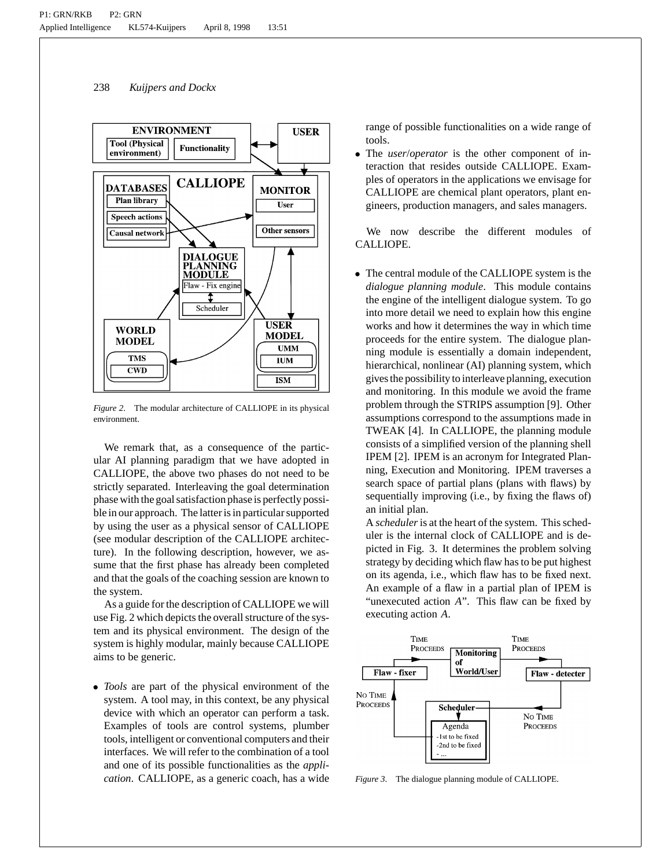

*Figure 2*. The modular architecture of CALLIOPE in its physical environment.

We remark that, as a consequence of the particular AI planning paradigm that we have adopted in CALLIOPE, the above two phases do not need to be strictly separated. Interleaving the goal determination phase with the goal satisfaction phase is perfectly possible in our approach. The latter is in particular supported by using the user as a physical sensor of CALLIOPE (see modular description of the CALLIOPE architecture). In the following description, however, we assume that the first phase has already been completed and that the goals of the coaching session are known to the system.

As a guide for the description of CALLIOPE we will use Fig. 2 which depicts the overall structure of the system and its physical environment. The design of the system is highly modular, mainly because CALLIOPE aims to be generic.

• *Tools* are part of the physical environment of the system. A tool may, in this context, be any physical device with which an operator can perform a task. Examples of tools are control systems, plumber tools, intelligent or conventional computers and their interfaces. We will refer to the combination of a tool and one of its possible functionalities as the *application*. CALLIOPE, as a generic coach, has a wide range of possible functionalities on a wide range of tools.

• The *user*/*operator* is the other component of interaction that resides outside CALLIOPE. Examples of operators in the applications we envisage for CALLIOPE are chemical plant operators, plant engineers, production managers, and sales managers.

We now describe the different modules of **CALLIOPE.** 

• The central module of the CALLIOPE system is the *dialogue planning module*. This module contains the engine of the intelligent dialogue system. To go into more detail we need to explain how this engine works and how it determines the way in which time proceeds for the entire system. The dialogue planning module is essentially a domain independent, hierarchical, nonlinear (AI) planning system, which gives the possibility to interleave planning, execution and monitoring. In this module we avoid the frame problem through the STRIPS assumption [9]. Other assumptions correspond to the assumptions made in TWEAK [4]. In CALLIOPE, the planning module consists of a simplified version of the planning shell IPEM [2]. IPEM is an acronym for Integrated Planning, Execution and Monitoring. IPEM traverses a search space of partial plans (plans with flaws) by sequentially improving (i.e., by fixing the flaws of) an initial plan.

A *scheduler*is at the heart of the system. This scheduler is the internal clock of CALLIOPE and is depicted in Fig. 3. It determines the problem solving strategy by deciding which flaw has to be put highest on its agenda, i.e., which flaw has to be fixed next. An example of a flaw in a partial plan of IPEM is "unexecuted action *A*". This flaw can be fixed by executing action *A*.



*Figure 3*. The dialogue planning module of CALLIOPE.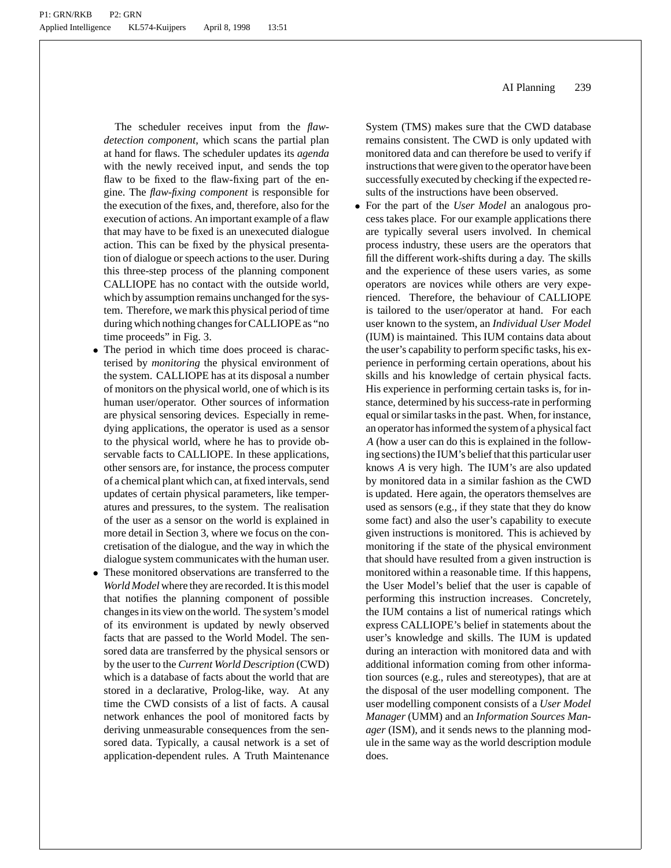The scheduler receives input from the *flawdetection component*, which scans the partial plan at hand for flaws. The scheduler updates its *agenda* with the newly received input, and sends the top flaw to be fixed to the flaw-fixing part of the engine. The *flaw-fixing component* is responsible for the execution of the fixes, and, therefore, also for the execution of actions. An important example of a flaw that may have to be fixed is an unexecuted dialogue action. This can be fixed by the physical presentation of dialogue or speech actions to the user. During this three-step process of the planning component CALLIOPE has no contact with the outside world, which by assumption remains unchanged for the system. Therefore, we mark this physical period of time during which nothing changes for CALLIOPE as "no time proceeds" in Fig. 3.

- The period in which time does proceed is characterised by *monitoring* the physical environment of the system. CALLIOPE has at its disposal a number of monitors on the physical world, one of which is its human user/operator. Other sources of information are physical sensoring devices. Especially in remedying applications, the operator is used as a sensor to the physical world, where he has to provide observable facts to CALLIOPE. In these applications, other sensors are, for instance, the process computer of a chemical plant which can, at fixed intervals, send updates of certain physical parameters, like temperatures and pressures, to the system. The realisation of the user as a sensor on the world is explained in more detail in Section 3, where we focus on the concretisation of the dialogue, and the way in which the dialogue system communicates with the human user.
- These monitored observations are transferred to the *World Model* where they are recorded. It is this model that notifies the planning component of possible changes in its view on the world. The system's model of its environment is updated by newly observed facts that are passed to the World Model. The sensored data are transferred by the physical sensors or by the user to the *Current World Description* (CWD) which is a database of facts about the world that are stored in a declarative, Prolog-like, way. At any time the CWD consists of a list of facts. A causal network enhances the pool of monitored facts by deriving unmeasurable consequences from the sensored data. Typically, a causal network is a set of application-dependent rules. A Truth Maintenance

System (TMS) makes sure that the CWD database remains consistent. The CWD is only updated with monitored data and can therefore be used to verify if instructions that were given to the operator have been successfully executed by checking if the expected results of the instructions have been observed.

• For the part of the *User Model* an analogous process takes place. For our example applications there are typically several users involved. In chemical process industry, these users are the operators that fill the different work-shifts during a day. The skills and the experience of these users varies, as some operators are novices while others are very experienced. Therefore, the behaviour of CALLIOPE is tailored to the user/operator at hand. For each user known to the system, an *Individual User Model* (IUM) is maintained. This IUM contains data about the user's capability to perform specific tasks, his experience in performing certain operations, about his skills and his knowledge of certain physical facts. His experience in performing certain tasks is, for instance, determined by his success-rate in performing equal or similar tasks in the past. When, for instance, an operator has informed the system of a physical fact *A* (how a user can do this is explained in the following sections) the IUM's belief that this particular user knows *A* is very high. The IUM's are also updated by monitored data in a similar fashion as the CWD is updated. Here again, the operators themselves are used as sensors (e.g., if they state that they do know some fact) and also the user's capability to execute given instructions is monitored. This is achieved by monitoring if the state of the physical environment that should have resulted from a given instruction is monitored within a reasonable time. If this happens, the User Model's belief that the user is capable of performing this instruction increases. Concretely, the IUM contains a list of numerical ratings which express CALLIOPE's belief in statements about the user's knowledge and skills. The IUM is updated during an interaction with monitored data and with additional information coming from other information sources (e.g., rules and stereotypes), that are at the disposal of the user modelling component. The user modelling component consists of a *User Model Manager* (UMM) and an *Information Sources Manager* (ISM), and it sends news to the planning module in the same way as the world description module does.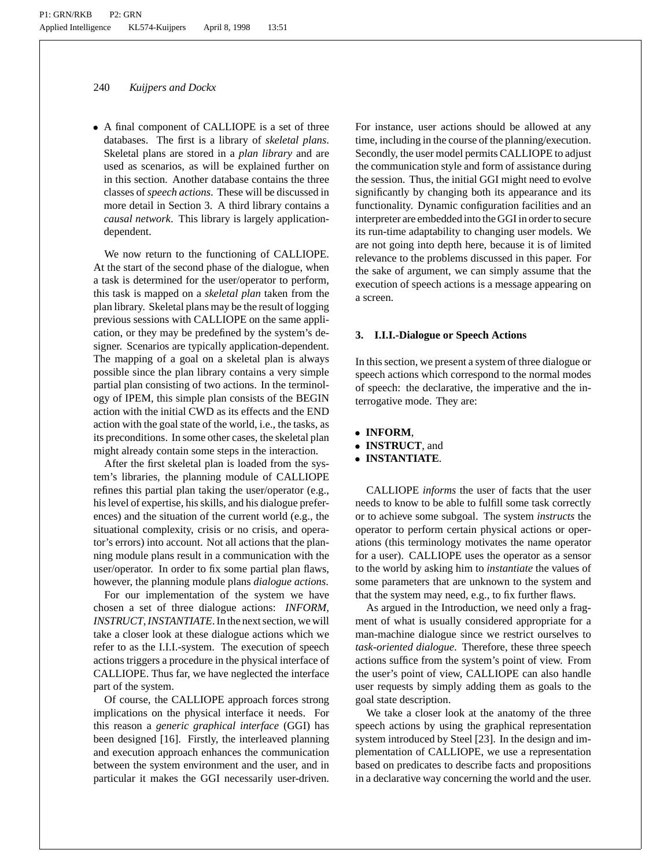• A final component of CALLIOPE is a set of three databases. The first is a library of *skeletal plans*. Skeletal plans are stored in a *plan library* and are used as scenarios, as will be explained further on in this section. Another database contains the three classes of*speech actions*. These will be discussed in more detail in Section 3. A third library contains a *causal network*. This library is largely applicationdependent.

We now return to the functioning of CALLIOPE. At the start of the second phase of the dialogue, when a task is determined for the user/operator to perform, this task is mapped on a *skeletal plan* taken from the plan library. Skeletal plans may be the result of logging previous sessions with CALLIOPE on the same application, or they may be predefined by the system's designer. Scenarios are typically application-dependent. The mapping of a goal on a skeletal plan is always possible since the plan library contains a very simple partial plan consisting of two actions. In the terminology of IPEM, this simple plan consists of the BEGIN action with the initial CWD as its effects and the END action with the goal state of the world, i.e., the tasks, as its preconditions. In some other cases, the skeletal plan might already contain some steps in the interaction.

After the first skeletal plan is loaded from the system's libraries, the planning module of CALLIOPE refines this partial plan taking the user/operator (e.g., his level of expertise, his skills, and his dialogue preferences) and the situation of the current world (e.g., the situational complexity, crisis or no crisis, and operator's errors) into account. Not all actions that the planning module plans result in a communication with the user/operator. In order to fix some partial plan flaws, however, the planning module plans *dialogue actions*.

For our implementation of the system we have chosen a set of three dialogue actions: *INFORM*, *INSTRUCT*,*INSTANTIATE*. In the next section, we will take a closer look at these dialogue actions which we refer to as the I.I.I.-system. The execution of speech actions triggers a procedure in the physical interface of CALLIOPE. Thus far, we have neglected the interface part of the system.

Of course, the CALLIOPE approach forces strong implications on the physical interface it needs. For this reason a *generic graphical interface* (GGI) has been designed [16]. Firstly, the interleaved planning and execution approach enhances the communication between the system environment and the user, and in particular it makes the GGI necessarily user-driven.

For instance, user actions should be allowed at any time, including in the course of the planning/execution. Secondly, the user model permits CALLIOPE to adjust the communication style and form of assistance during the session. Thus, the initial GGI might need to evolve significantly by changing both its appearance and its functionality. Dynamic configuration facilities and an interpreter are embedded into the GGI in order to secure its run-time adaptability to changing user models. We are not going into depth here, because it is of limited relevance to the problems discussed in this paper. For the sake of argument, we can simply assume that the execution of speech actions is a message appearing on a screen.

### **3. I.I.I.-Dialogue or Speech Actions**

In this section, we present a system of three dialogue or speech actions which correspond to the normal modes of speech: the declarative, the imperative and the interrogative mode. They are:

- **INFORM**,
- **INSTRUCT**, and
- **INSTANTIATE**.

CALLIOPE *informs* the user of facts that the user needs to know to be able to fulfill some task correctly or to achieve some subgoal. The system *instructs* the operator to perform certain physical actions or operations (this terminology motivates the name operator for a user). CALLIOPE uses the operator as a sensor to the world by asking him to *instantiate* the values of some parameters that are unknown to the system and that the system may need, e.g., to fix further flaws.

As argued in the Introduction, we need only a fragment of what is usually considered appropriate for a man-machine dialogue since we restrict ourselves to *task-oriented dialogue*. Therefore, these three speech actions suffice from the system's point of view. From the user's point of view, CALLIOPE can also handle user requests by simply adding them as goals to the goal state description.

We take a closer look at the anatomy of the three speech actions by using the graphical representation system introduced by Steel [23]. In the design and implementation of CALLIOPE, we use a representation based on predicates to describe facts and propositions in a declarative way concerning the world and the user.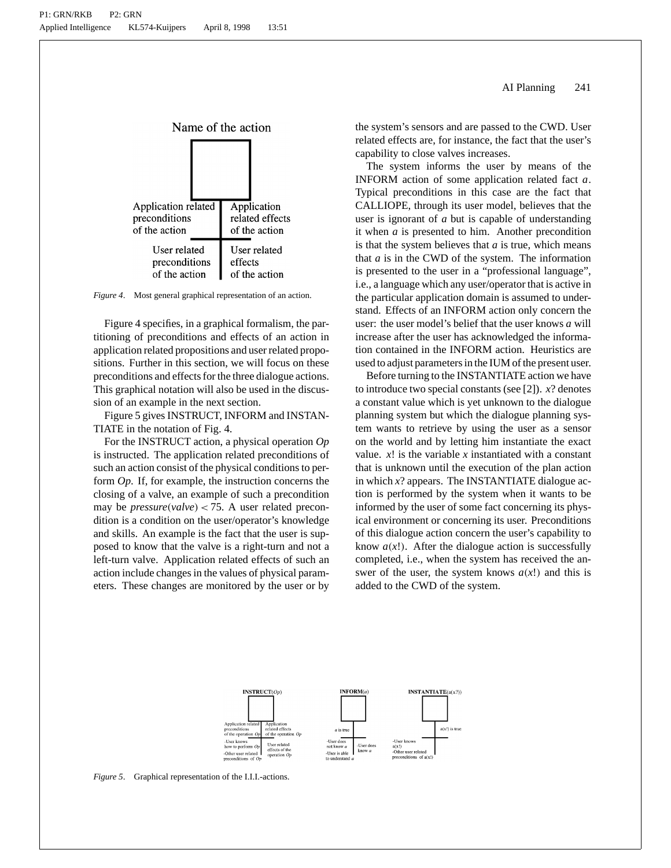

*Figure 4*. Most general graphical representation of an action.

Figure 4 specifies, in a graphical formalism, the partitioning of preconditions and effects of an action in application related propositions and user related propositions. Further in this section, we will focus on these preconditions and effects for the three dialogue actions. This graphical notation will also be used in the discussion of an example in the next section.

Figure 5 gives INSTRUCT, INFORM and INSTAN-TIATE in the notation of Fig. 4.

For the INSTRUCT action, a physical operation *Op* is instructed. The application related preconditions of such an action consist of the physical conditions to perform *Op*. If, for example, the instruction concerns the closing of a valve, an example of such a precondition may be *pressure*(*valve*) < 75. A user related precondition is a condition on the user/operator's knowledge and skills. An example is the fact that the user is supposed to know that the valve is a right-turn and not a left-turn valve. Application related effects of such an action include changes in the values of physical parameters. These changes are monitored by the user or by

the system's sensors and are passed to the CWD. User related effects are, for instance, the fact that the user's capability to close valves increases.

The system informs the user by means of the INFORM action of some application related fact *a*. Typical preconditions in this case are the fact that CALLIOPE, through its user model, believes that the user is ignorant of *a* but is capable of understanding it when *a* is presented to him. Another precondition is that the system believes that *a* is true, which means that *a* is in the CWD of the system. The information is presented to the user in a "professional language", i.e., a language which any user/operator that is active in the particular application domain is assumed to understand. Effects of an INFORM action only concern the user: the user model's belief that the user knows *a* will increase after the user has acknowledged the information contained in the INFORM action. Heuristics are used to adjust parameters in the IUM of the present user.

Before turning to the INSTANTIATE action we have to introduce two special constants (see [2]). *x*? denotes a constant value which is yet unknown to the dialogue planning system but which the dialogue planning system wants to retrieve by using the user as a sensor on the world and by letting him instantiate the exact value.  $x!$  is the variable  $x$  instantiated with a constant that is unknown until the execution of the plan action in which *x*? appears. The INSTANTIATE dialogue action is performed by the system when it wants to be informed by the user of some fact concerning its physical environment or concerning its user. Preconditions of this dialogue action concern the user's capability to know  $a(x!)$ . After the dialogue action is successfully completed, i.e., when the system has received the answer of the user, the system knows  $a(x!)$  and this is added to the CWD of the system.



*Figure 5*. Graphical representation of the I.I.I.-actions.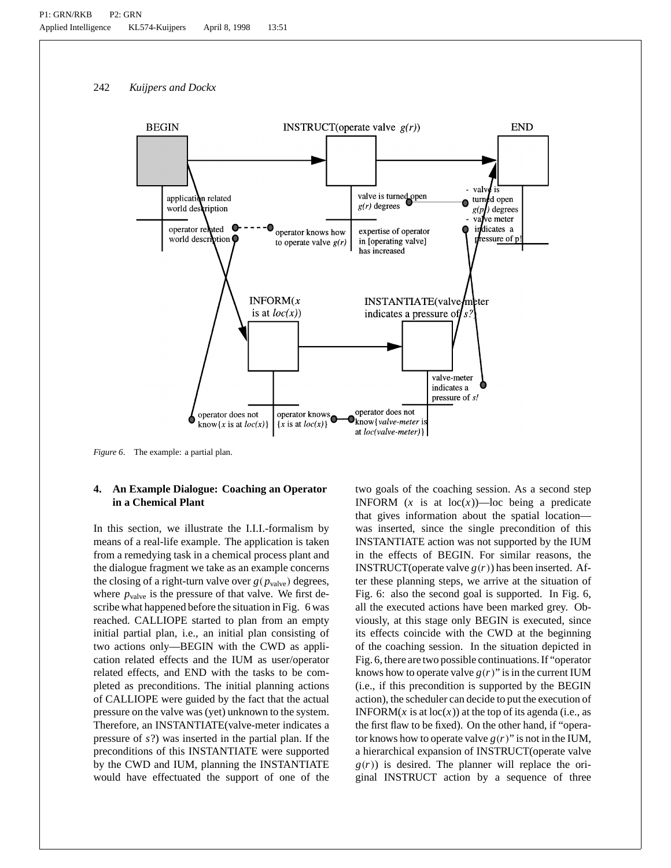

*Figure 6*. The example: a partial plan.

# **4. An Example Dialogue: Coaching an Operator in a Chemical Plant**

In this section, we illustrate the I.I.I.-formalism by means of a real-life example. The application is taken from a remedying task in a chemical process plant and the dialogue fragment we take as an example concerns the closing of a right-turn valve over  $g(p_{\text{value}})$  degrees, where  $p_{\text{value}}$  is the pressure of that valve. We first describe what happened before the situation in Fig. 6 was reached. CALLIOPE started to plan from an empty initial partial plan, i.e., an initial plan consisting of two actions only—BEGIN with the CWD as application related effects and the IUM as user/operator related effects, and END with the tasks to be completed as preconditions. The initial planning actions of CALLIOPE were guided by the fact that the actual pressure on the valve was (yet) unknown to the system. Therefore, an INSTANTIATE(valve-meter indicates a pressure of *s*?) was inserted in the partial plan. If the preconditions of this INSTANTIATE were supported by the CWD and IUM, planning the INSTANTIATE would have effectuated the support of one of the

two goals of the coaching session. As a second step INFORM  $(x \text{ is at } \text{loc}(x))$ —loc being a predicate that gives information about the spatial location was inserted, since the single precondition of this INSTANTIATE action was not supported by the IUM in the effects of BEGIN. For similar reasons, the **INSTRUCT**(operate valve  $g(r)$ ) has been inserted. After these planning steps, we arrive at the situation of Fig. 6: also the second goal is supported. In Fig. 6, all the executed actions have been marked grey. Obviously, at this stage only BEGIN is executed, since its effects coincide with the CWD at the beginning of the coaching session. In the situation depicted in Fig. 6, there are two possible continuations. If "operator knows how to operate valve  $g(r)$ " is in the current IUM (i.e., if this precondition is supported by the BEGIN action), the scheduler can decide to put the execution of INFORM( $x$  is at  $loc(x)$ ) at the top of its agenda (i.e., as the first flaw to be fixed). On the other hand, if "operator knows how to operate valve  $g(r)$ " is not in the IUM, a hierarchical expansion of INSTRUCT(operate valve  $g(r)$ ) is desired. The planner will replace the original INSTRUCT action by a sequence of three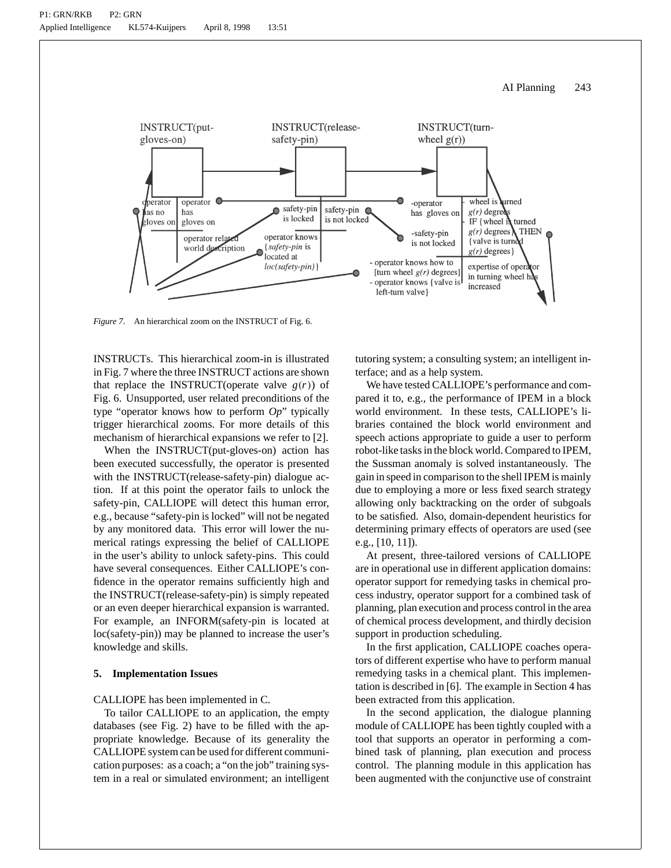

*Figure 7*. An hierarchical zoom on the INSTRUCT of Fig. 6.

INSTRUCTs. This hierarchical zoom-in is illustrated in Fig. 7 where the three INSTRUCT actions are shown that replace the INSTRUCT(operate valve  $g(r)$ ) of Fig. 6. Unsupported, user related preconditions of the type "operator knows how to perform *Op*" typically trigger hierarchical zooms. For more details of this mechanism of hierarchical expansions we refer to [2].

When the INSTRUCT(put-gloves-on) action has been executed successfully, the operator is presented with the INSTRUCT(release-safety-pin) dialogue action. If at this point the operator fails to unlock the safety-pin, CALLIOPE will detect this human error, e.g., because "safety-pin is locked" will not be negated by any monitored data. This error will lower the numerical ratings expressing the belief of CALLIOPE in the user's ability to unlock safety-pins. This could have several consequences. Either CALLIOPE's confidence in the operator remains sufficiently high and the INSTRUCT(release-safety-pin) is simply repeated or an even deeper hierarchical expansion is warranted. For example, an INFORM(safety-pin is located at loc(safety-pin)) may be planned to increase the user's knowledge and skills.

#### **5. Implementation Issues**

#### CALLIOPE has been implemented in C.

To tailor CALLIOPE to an application, the empty databases (see Fig. 2) have to be filled with the appropriate knowledge. Because of its generality the CALLIOPE system can be used for different communication purposes: as a coach; a "on the job" training system in a real or simulated environment; an intelligent tutoring system; a consulting system; an intelligent interface; and as a help system.

We have tested CALLIOPE's performance and compared it to, e.g., the performance of IPEM in a block world environment. In these tests, CALLIOPE's libraries contained the block world environment and speech actions appropriate to guide a user to perform robot-like tasks in the block world. Compared to IPEM, the Sussman anomaly is solved instantaneously. The gain in speed in comparison to the shell IPEM is mainly due to employing a more or less fixed search strategy allowing only backtracking on the order of subgoals to be satisfied. Also, domain-dependent heuristics for determining primary effects of operators are used (see e.g., [10, 11]).

At present, three-tailored versions of CALLIOPE are in operational use in different application domains: operator support for remedying tasks in chemical process industry, operator support for a combined task of planning, plan execution and process control in the area of chemical process development, and thirdly decision support in production scheduling.

In the first application, CALLIOPE coaches operators of different expertise who have to perform manual remedying tasks in a chemical plant. This implementation is described in [6]. The example in Section 4 has been extracted from this application.

In the second application, the dialogue planning module of CALLIOPE has been tightly coupled with a tool that supports an operator in performing a combined task of planning, plan execution and process control. The planning module in this application has been augmented with the conjunctive use of constraint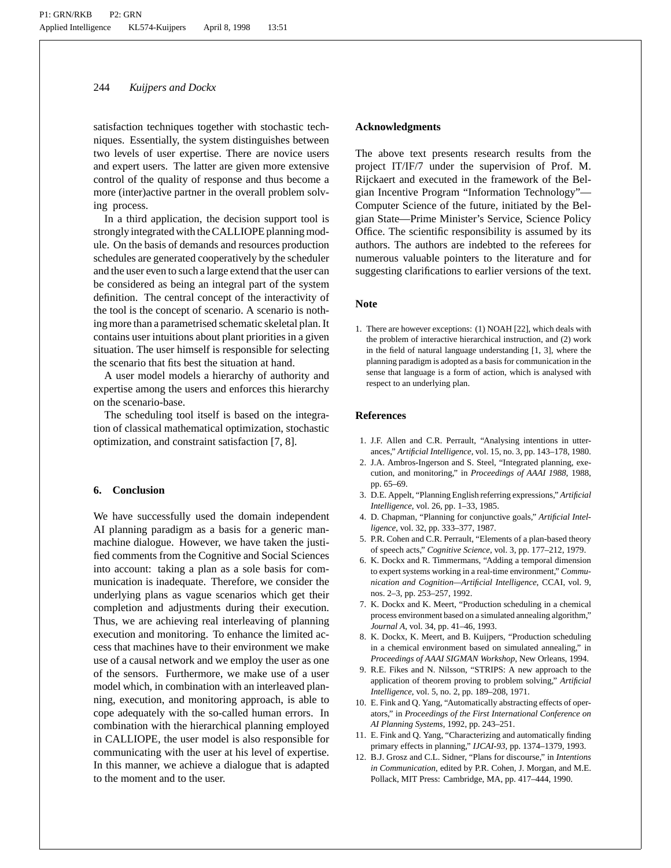satisfaction techniques together with stochastic techniques. Essentially, the system distinguishes between two levels of user expertise. There are novice users and expert users. The latter are given more extensive control of the quality of response and thus become a more (inter)active partner in the overall problem solving process.

In a third application, the decision support tool is strongly integrated with the CALLIOPE planning module. On the basis of demands and resources production schedules are generated cooperatively by the scheduler and the user even to such a large extend that the user can be considered as being an integral part of the system definition. The central concept of the interactivity of the tool is the concept of scenario. A scenario is nothing more than a parametrised schematic skeletal plan. It contains user intuitions about plant priorities in a given situation. The user himself is responsible for selecting the scenario that fits best the situation at hand.

A user model models a hierarchy of authority and expertise among the users and enforces this hierarchy on the scenario-base.

The scheduling tool itself is based on the integration of classical mathematical optimization, stochastic optimization, and constraint satisfaction [7, 8].

## **6. Conclusion**

We have successfully used the domain independent AI planning paradigm as a basis for a generic manmachine dialogue. However, we have taken the justified comments from the Cognitive and Social Sciences into account: taking a plan as a sole basis for communication is inadequate. Therefore, we consider the underlying plans as vague scenarios which get their completion and adjustments during their execution. Thus, we are achieving real interleaving of planning execution and monitoring. To enhance the limited access that machines have to their environment we make use of a causal network and we employ the user as one of the sensors. Furthermore, we make use of a user model which, in combination with an interleaved planning, execution, and monitoring approach, is able to cope adequately with the so-called human errors. In combination with the hierarchical planning employed in CALLIOPE, the user model is also responsible for communicating with the user at his level of expertise. In this manner, we achieve a dialogue that is adapted to the moment and to the user.

#### **Acknowledgments**

The above text presents research results from the project IT/IF/7 under the supervision of Prof. M. Rijckaert and executed in the framework of the Belgian Incentive Program "Information Technology"— Computer Science of the future, initiated by the Belgian State—Prime Minister's Service, Science Policy Office. The scientific responsibility is assumed by its authors. The authors are indebted to the referees for numerous valuable pointers to the literature and for suggesting clarifications to earlier versions of the text.

#### **Note**

1. There are however exceptions: (1) NOAH [22], which deals with the problem of interactive hierarchical instruction, and (2) work in the field of natural language understanding [1, 3], where the planning paradigm is adopted as a basis for communication in the sense that language is a form of action, which is analysed with respect to an underlying plan.

#### **References**

- 1. J.F. Allen and C.R. Perrault, "Analysing intentions in utterances," *Artificial Intelligence*, vol. 15, no. 3, pp. 143–178, 1980.
- 2. J.A. Ambros-Ingerson and S. Steel, "Integrated planning, execution, and monitoring," in *Proceedings of AAAI 1988*, 1988, pp. 65–69.
- 3. D.E. Appelt, "Planning English referring expressions," *Artificial Intelligence*, vol. 26, pp. 1–33, 1985.
- 4. D. Chapman, "Planning for conjunctive goals," *Artificial Intelligence*, vol. 32, pp. 333–377, 1987.
- 5. P.R. Cohen and C.R. Perrault, "Elements of a plan-based theory of speech acts," *Cognitive Science*, vol. 3, pp. 177–212, 1979.
- 6. K. Dockx and R. Timmermans, "Adding a temporal dimension to expert systems working in a real-time environment," *Communication and Cognition—Artificial Intelligence*, CCAI, vol. 9, nos. 2–3, pp. 253–257, 1992.
- 7. K. Dockx and K. Meert, "Production scheduling in a chemical process environment based on a simulated annealing algorithm," *Journal A*, vol. 34, pp. 41–46, 1993.
- 8. K. Dockx, K. Meert, and B. Kuijpers, "Production scheduling in a chemical environment based on simulated annealing," in *Proceedings of AAAI SIGMAN Workshop*, New Orleans, 1994.
- 9. R.E. Fikes and N. Nilsson, "STRIPS: A new approach to the application of theorem proving to problem solving," *Artificial Intelligence*, vol. 5, no. 2, pp. 189–208, 1971.
- 10. E. Fink and Q. Yang, "Automatically abstracting effects of operators," in *Proceedings of the First International Conference on AI Planning Systems*, 1992, pp. 243–251.
- 11. E. Fink and Q. Yang, "Characterizing and automatically finding primary effects in planning," *IJCAI-93*, pp. 1374–1379, 1993.
- 12. B.J. Grosz and C.L. Sidner, "Plans for discourse," in *Intentions in Communication*, edited by P.R. Cohen, J. Morgan, and M.E. Pollack, MIT Press: Cambridge, MA, pp. 417–444, 1990.